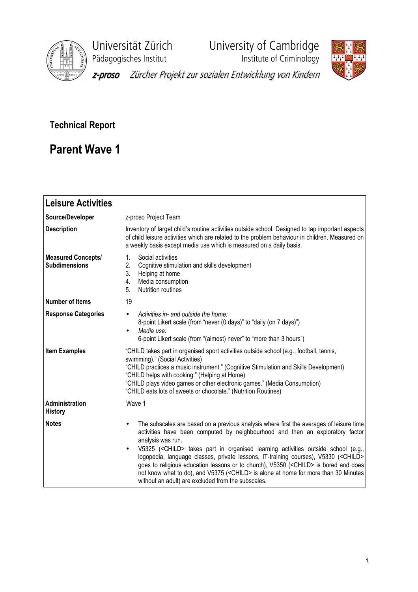

Universität Zürich<br>
Pädagogisches Institut **Varian University of Cambridge**<br>
Institute of Criminology Pädagogisches Institut



z-proso Zürcher Projekt zur sozialen Entwicklung von Kindern

# Technical Report

# Parent Wave 1

| <b>Leisure Activities</b>                         |                                                                                                                                                                                                                                                                                                                                                                                                                                                                                                                                                                                                                                                                                                        |
|---------------------------------------------------|--------------------------------------------------------------------------------------------------------------------------------------------------------------------------------------------------------------------------------------------------------------------------------------------------------------------------------------------------------------------------------------------------------------------------------------------------------------------------------------------------------------------------------------------------------------------------------------------------------------------------------------------------------------------------------------------------------|
| Source/Developer                                  | z-proso Project Team                                                                                                                                                                                                                                                                                                                                                                                                                                                                                                                                                                                                                                                                                   |
| <b>Description</b>                                | Inventory of target child's routine activities outside school. Designed to tap important aspects<br>of child leisure activities which are related to the problem behaviour in children. Measured on<br>a weekly basis except media use which is measured on a daily basis.                                                                                                                                                                                                                                                                                                                                                                                                                             |
| <b>Measured Concepts/</b><br><b>Subdimensions</b> | Social activities<br>1.<br>2.<br>Cognitive stimulation and skills development<br>3.<br>Helping at home<br>Media consumption<br>4.<br><b>Nutrition routines</b><br>5.                                                                                                                                                                                                                                                                                                                                                                                                                                                                                                                                   |
| <b>Number of Items</b>                            | 19                                                                                                                                                                                                                                                                                                                                                                                                                                                                                                                                                                                                                                                                                                     |
| <b>Response Categories</b>                        | Activities in- and outside the home:<br>$\bullet$<br>8-point Likert scale (from "never (0 days)" to "daily (on 7 days)")<br>Media use:<br>$\bullet$<br>6-point Likert scale (from "(almost) never" to "more than 3 hours")                                                                                                                                                                                                                                                                                                                                                                                                                                                                             |
| <b>Item Examples</b>                              | "CHILD takes part in organised sport activities outside school (e.g., football, tennis,<br>swimming)." (Social Activities)<br>"CHILD practices a music instrument." (Cognitive Stimulation and Skills Development)<br>"CHILD helps with cooking." (Helping at Home)<br>"CHILD plays video games or other electronic games." (Media Consumption)<br>"CHILD eats lots of sweets or chocolate." (Nutrition Routines)                                                                                                                                                                                                                                                                                      |
| Administration<br><b>History</b>                  | Wave 1                                                                                                                                                                                                                                                                                                                                                                                                                                                                                                                                                                                                                                                                                                 |
| <b>Notes</b>                                      | The subscales are based on a previous analysis where first the averages of leisure time<br>$\bullet$<br>activities have been computed by neighbourhood and then an exploratory factor<br>analysis was run.<br>V5325 ( <child> takes part in organised learning activities outside school (e.g.,<br/><math display="inline">\bullet</math><br/>logopedia, language classes, private lessons, IT-training courses), V5330 (<child><br/>goes to religious education lessons or to church), V5350 (<child> is bored and does<br/>not know what to do), and V5375 (<child> is alone at home for more than 30 Minutes<br/>without an adult) are excluded from the subscales.</child></child></child></child> |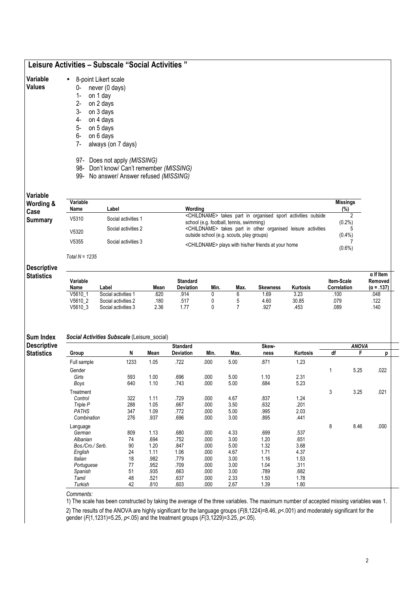# Leisure Activities – Subscale "Social Activities "

| Variable      | 8-point Likert scale |                |  |  |  |
|---------------|----------------------|----------------|--|--|--|
| <b>Values</b> |                      | never (0 days) |  |  |  |

- 0- never (0 days)
	- 1- on 1 day
	- 2- on 2 days
	- 3- on 3 days
	- 4- on 4 days on 5 days
	- 6- on 6 days
	- 7- always (on 7 days)
	- 97- Does not apply (MISSING)
	- 98- Don't know/ Can't remember (MISSING)
	- 99- No answer/ Answer refused (MISSING)

Variable

| Variable<br><b>Wording &amp;</b> | Variable |                     |                                                                                                                        | <b>Missings</b> |
|----------------------------------|----------|---------------------|------------------------------------------------------------------------------------------------------------------------|-----------------|
| Case                             | Name     | Label               | Wordina                                                                                                                | $(\%)$          |
| Summary                          | V5310    | Social activities 1 | <childname> takes part in organised sport activities outside<br/>school (e.g. football, tennis, swimming)</childname>  | $(0.2\%)$       |
|                                  | V5320    | Social activities 2 | <childname> takes part in other organised leisure activities<br/>outside school (e.g. scouts, play groups)</childname> | $(0.4\%)$       |
|                                  | V5355    | Social activities 3 | <childname> plays with his/her friends at your home</childname>                                                        | $(0.6\%)$       |

Total  $N = 1235$ 

# **Descriptive**

Sum Index

| Variable<br>Name | ∟abel               | Mean | Standard<br>Deviation | Min. | Max. | <b>Skewness</b> | Kurtosis | <b>Item-Scale</b><br><b>Correlation</b> | $\alpha$ If Item<br>Removed<br>$(\alpha = .137)$ |
|------------------|---------------------|------|-----------------------|------|------|-----------------|----------|-----------------------------------------|--------------------------------------------------|
| V5610            | Social activities   | 620  | .914                  |      |      | .69             | 3.23     | .100                                    | .048                                             |
| V5610 2          | Social activities 2 | 180  | .517                  |      |      | 4.60            | 30.85    | .079                                    | .122                                             |
| V5610 3          | Social activities 3 | 2.36 | 77                    |      |      | .927            | .453     | .089                                    | .140                                             |

## Social Activities Subscale (Leisure\_social)

**Descriptive Statistics** Standard Standard Skew- Skew- Skew- ANOVA

Group N Mean Deviation Min. Max. ness Kurtosis df F p Full sample 1233 1.05 .722 .000 5.00 .871 1.23 Gender 1 5.25 .022 Girls 593 1.00 .696 .000 5.00 1.10 2.31 Boys 640 1.10 .743 .000 5.00 .684 5.23 Treatment 3 3.25 .021 Control 322 1.11 .729 .000 4.67 .837 1.24 Triple P 288 1.05 .667 .000 3.50 .632 .201 PATHS 347 1.09 .772 .000 5.00 .995 2.03 Combination 276 .937 .696 .000 3.00 .895 .441 Language 8 8.46 .000 German 809 1.13 .680 .000 4.33 .699 .537 Albanian 74 .694 .752 .000 3.00 1.20 .651 Bos./Cro./ Serb. 90 1.20 .847 .000 5.00 1.32 3.68 English 24 1.11 1.06 .000 4.67 1.71 4.37 Italian 18 .982 .779 .000 3.00 1.16 1.53 Portuguese 77 .952 .709 .000 3.00 1.04 .311 Spanish 51 .935 .663 .000 3.00 .789 .682 Tamil 48 .521 .637 .000 2.33 1.50 1.78 Turkish 42 .810 .603 .000 2.67 1.39 1.80

Comments:

1) The scale has been constructed by taking the average of the three variables. The maximum number of accepted missing variables was 1.

2) The results of the ANOVA are highly significant for the language groups (F(8,1224)=8.46, p<.001) and moderately significant for the gender (F(1,1231)=5.25,  $p$ <.05) and the treatment groups (F(3,1229)=3.25,  $p$ <.05).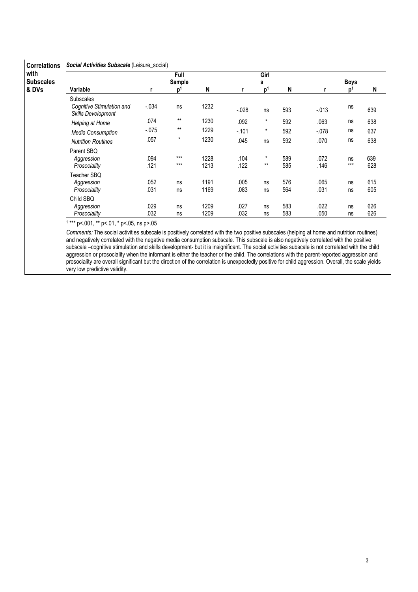| with             |                                                                            |              | Full           |              |              | Girl             |            |              |                |            |
|------------------|----------------------------------------------------------------------------|--------------|----------------|--------------|--------------|------------------|------------|--------------|----------------|------------|
| <b>Subscales</b> |                                                                            |              | Sample         |              |              | s                |            | <b>Boys</b>  |                |            |
| & DVs            | Variable                                                                   | r            | p <sup>1</sup> | N            |              | p <sup>1</sup>   | N          |              | D <sup>1</sup> | N          |
|                  | <b>Subscales</b><br>Cognitive Stimulation and<br><b>Skills Development</b> | $-0.034$     | ns             | 1232         | $-0.028$     | ns               | 593        | $-.013$      | ns             | 639        |
|                  | Helping at Home                                                            | .074         | $***$          | 1230         | .092         | $\star$          | 592        | .063         | ns             | 638        |
|                  | Media Consumption                                                          | $-0.075$     | $***$          | 1229         | $-.101$      | $\star$          | 592        | $-.078$      | ns             | 637        |
|                  | <b>Nutrition Routines</b>                                                  | .057         | $\star$        | 1230         | .045         | ns               | 592        | .070         | ns             | 638        |
|                  | Parent SBO<br>Aggression<br>Prosociality                                   | .094<br>.121 | $***$<br>$***$ | 1228<br>1213 | .104<br>.122 | $\star$<br>$***$ | 589<br>585 | .072<br>.146 | ns<br>$***$    | 639<br>628 |
|                  | Teacher SBQ<br>Aggression<br>Prosociality                                  | .052<br>.031 | ns<br>ns       | 1191<br>1169 | .005<br>.083 | ns<br>ns         | 576<br>564 | .065<br>.031 | ns<br>ns       | 615<br>605 |
|                  | Child SBQ<br>Aggression<br>Prosociality                                    | .029<br>.032 | ns<br>ns       | 1209<br>1209 | .027<br>.032 | ns<br>ns         | 583<br>583 | .022<br>.050 | ns<br>ns       | 626<br>626 |

1 \*\*\* p<.001, \*\* p<.01, \* p<.05, ns p>.05

Comments: The social activities subscale is positively correlated with the two positive subscales (helping at home and nutrition routines) and negatively correlated with the negative media consumption subscale. This subscale is also negatively correlated with the positive subscale –cognitive stimulation and skills development- but it is insignificant. The social activities subscale is not correlated with the child aggression or prosociality when the informant is either the teacher or the child. The correlations with the parent-reported aggression and prosociality are overall significant but the direction of the correlation is unexpectedly positive for child aggression. Overall, the scale yields very low predictive validity.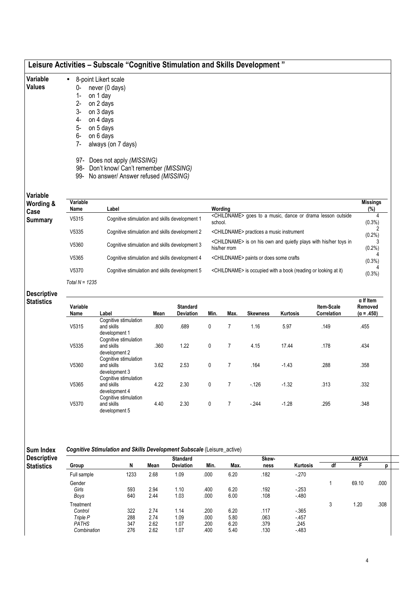| Variable<br>Values     | $\bullet$<br>0-<br>$2 -$<br>3-<br>4-<br>5-<br>6-<br>$7-$<br>97-<br>98-<br>99- | 8-point Likert scale<br>never (0 days)<br>on 1 day<br>on 2 days<br>on 3 days<br>on 4 days<br>on 5 days<br>on 6 days<br>always (on 7 days)<br>Does not apply (MISSING)<br>Don't know/ Can't remember (MISSING)<br>No answer/ Answer refused (MISSING) |                                                                                               |                       |  |  |  |  |  |  |
|------------------------|-------------------------------------------------------------------------------|------------------------------------------------------------------------------------------------------------------------------------------------------------------------------------------------------------------------------------------------------|-----------------------------------------------------------------------------------------------|-----------------------|--|--|--|--|--|--|
| Variable<br>Wording &  | Variable<br>Name                                                              | Label                                                                                                                                                                                                                                                | Wording                                                                                       | <b>Missings</b>       |  |  |  |  |  |  |
| Case<br><b>Summary</b> | V5315                                                                         | Cognitive stimulation and skills development 1                                                                                                                                                                                                       | <childname> goes to a music, dance or drama lesson outside<br/>school.</childname>            | (%)<br>4<br>$(0.3\%)$ |  |  |  |  |  |  |
|                        | V5335                                                                         | Cognitive stimulation and skills development 2                                                                                                                                                                                                       | <childname> practices a music instrument</childname>                                          | 2<br>$(0.2\%)$        |  |  |  |  |  |  |
|                        | V5360                                                                         | Cognitive stimulation and skills development 3                                                                                                                                                                                                       | <childname> is on his own and quietly plays with his/her toys in<br/>his/her rrom</childname> | $(0.2\%)$             |  |  |  |  |  |  |
|                        | V5365                                                                         | Cognitive stimulation and skills development 4                                                                                                                                                                                                       | <childname> paints or does some crafts</childname>                                            | $(0.3\%)$             |  |  |  |  |  |  |
|                        | V5370                                                                         | Cognitive stimulation and skills development 5                                                                                                                                                                                                       | <childname> is occupied with a book (reading or looking at it)</childname>                    | $(0.3\%)$             |  |  |  |  |  |  |
|                        | Total $N = 1235$                                                              |                                                                                                                                                                                                                                                      |                                                                                               |                       |  |  |  |  |  |  |

### Descriptive Statistics

| Variable<br>Name | Label                                                | Mean | <b>Standard</b><br><b>Deviation</b> | Min.         | Max.           | <b>Skewness</b> | <b>Kurtosis</b> | Item-Scale<br>Correlation | $\alpha$ If Item<br>Removed<br>$(\alpha = .450)$ |
|------------------|------------------------------------------------------|------|-------------------------------------|--------------|----------------|-----------------|-----------------|---------------------------|--------------------------------------------------|
|                  | Cognitive stimulation                                |      |                                     |              |                |                 |                 |                           |                                                  |
| V5315            | and skills<br>development 1                          | .800 | .689                                | 0            | 7              | 1.16            | 5.97            | .149                      | .455                                             |
|                  | Cognitive stimulation                                |      |                                     |              |                |                 |                 |                           |                                                  |
| V5335            | and skills<br>development 2<br>Cognitive stimulation | .360 | 1.22                                | 0            | 7              | 4.15            | 17.44           | .178                      | .434                                             |
| V5360            | and skills<br>development 3                          | 3.62 | 2.53                                | $\mathbf{0}$ | 7              | .164            | $-1.43$         | .288                      | .358                                             |
| V5365            | Cognitive stimulation<br>and skills                  | 4.22 | 2.30                                | $\mathbf{0}$ | $\overline{7}$ | $-126$          | $-1.32$         | .313                      | .332                                             |
| V5370            | development 4<br>Cognitive stimulation<br>and skills | 4.40 | 2.30                                | 0            | 7              | $-244$          | $-1.28$         | 295                       | .348                                             |
|                  | development 5                                        |      |                                     |              |                |                 |                 |                           |                                                  |

Sum Index Cognitive Stimulation and Skills Development Subscale (Leisure\_active)

| <b>Descriptive</b> |              |      |      | <b>Standard</b>  |      |      | Skew- |          |    | <b>ANOVA</b> |      |
|--------------------|--------------|------|------|------------------|------|------|-------|----------|----|--------------|------|
| <b>Statistics</b>  | Group        | N    | Mean | <b>Deviation</b> | Min. | Max. | ness  | Kurtosis | df |              |      |
|                    | Full sample  | 1233 | 2.68 | 1.09             | .000 | 6.20 | .182  | $-270$   |    |              |      |
|                    | Gender       |      |      |                  |      |      |       |          |    | 69.10        | .000 |
|                    | Girls        | 593  | 2.94 | 1.10             | .400 | 6.20 | .192  | $-253$   |    |              |      |
|                    | Boys         | 640  | 2.44 | 1.03             | .000 | 6.00 | .108  | $-480$   |    |              |      |
|                    | Treatment    |      |      |                  |      |      |       |          | 3  | 1.20         | .308 |
|                    | Control      | 322  | 2.74 | 1.14             | .200 | 6.20 | .117  | $-365$   |    |              |      |
|                    | Triple P     | 288  | 2.74 | 1.09             | .000 | 5.80 | .063  | $-457$   |    |              |      |
|                    | <b>PATHS</b> | 347  | 2.62 | 1.07             | .200 | 6.20 | .379  | .245     |    |              |      |
|                    | Combination  | 276  | 2.62 | 1.07             | .400 | 5.40 | .130  | $-483$   |    |              |      |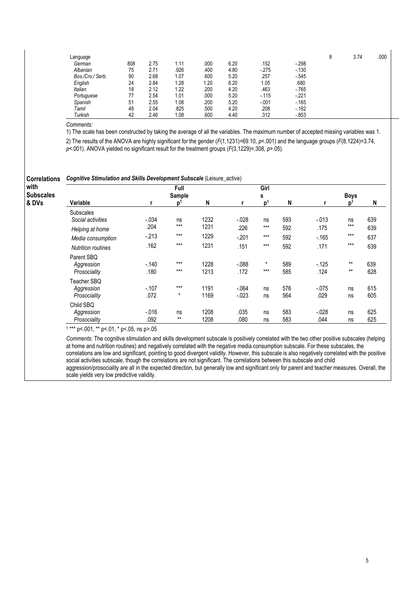| Language         |     |      |      |      |      |         |          | Ŏ | 3.74 | .000 |
|------------------|-----|------|------|------|------|---------|----------|---|------|------|
| German           | 808 | 2.75 | 1.11 | .000 | 6.20 | .152    | $-298$   |   |      |      |
| Albanian         | 75  | 2.71 | .926 | .400 | 4.80 | $-275$  | $-130$   |   |      |      |
| Bos./Cro./ Serb. | 90  | 2.68 | 1.07 | .600 | 5.20 | .257    | $-545$   |   |      |      |
| English          | 24  | 2.84 | 1.28 | 1.20 | 6.20 | 1.05    | .680     |   |      |      |
| <b>Italian</b>   | 18  | 2.12 | 1.22 | .200 | 4.20 | .463    | $-765$   |   |      |      |
| Portuguese       | 77  | 2.54 | 1.01 | .000 | 5.20 | $-115$  | $-.221$  |   |      |      |
| Spanish          | 51  | 2.55 | 1.08 | .200 | 5.20 | $-0.01$ | $-165$   |   |      |      |
| Tamil            | 48  | 2.04 | .825 | .500 | 4.20 | .208    | $-182$   |   |      |      |
| Turkish          | 42  | 2.46 | 1.08 | .600 | 4.40 | .312    | $-0.853$ |   |      |      |

Comments:

1) The scale has been constructed by taking the average of all the variables. The maximum number of accepted missing variables was 1.

2) The results of the ANOVA are highly significant for the gender (F(1,1231)=69.10, p<.001) and the language groups (F(8,1224)=3.74,  $p$ <.001). ANOVA yielded no significant result for the treatment groups ( $F(3,1229)$ =.308,  $p$ >.05).

| <b>Correlations</b><br>with | <b>Cognitive Stimulation and Skills Development Subscale (Leisure_active)</b> |          |                |      |          |                |     |          |       |     |
|-----------------------------|-------------------------------------------------------------------------------|----------|----------------|------|----------|----------------|-----|----------|-------|-----|
| <b>Subscales</b>            |                                                                               |          | Full<br>Sample |      |          | Girl<br>s      |     | Boys     |       |     |
| & DVs                       | Variable                                                                      |          | p'             | N    |          | p <sup>1</sup> | N   |          | n     | N   |
|                             | <b>Subscales</b><br>Social activities                                         | $-.034$  | ns             | 1232 | $-0.028$ | ns             | 593 | $-.013$  | ns    | 639 |
|                             | Helping at home                                                               | .204     | $***$          | 1231 | .226     | $***$          | 592 | .175     | $***$ | 639 |
|                             | Media consumption                                                             | $-213$   | $***$          | 1229 | $-.201$  | $***$          | 592 | $-165$   | $***$ | 637 |
|                             | <b>Nutrition routines</b>                                                     | .162     | $***$          | 1231 | .151     | $***$          | 592 | .171     | $***$ | 639 |
|                             | Parent SBQ                                                                    |          |                |      |          |                |     |          |       |     |
|                             | Aggression                                                                    | $-.140$  | $***$          | 1228 | $-088$   | $\star$        | 589 | $-125$   | $***$ | 639 |
|                             | Prosociality                                                                  | .180     | $***$          | 1213 | .172     | $***$          | 585 | .124     | $***$ | 628 |
|                             | Teacher SBQ                                                                   |          |                |      |          |                |     |          |       |     |
|                             | Aggression                                                                    | $-.107$  | $***$          | 1191 | $-064$   | ns             | 576 | $-0.075$ | ns    | 615 |
|                             | Prosociality                                                                  | .072     | $\star$        | 1169 | $-0.023$ | ns             | 564 | .029     | ns    | 605 |
|                             | Child SBQ                                                                     |          |                |      |          |                |     |          |       |     |
|                             | Aggression                                                                    | $-0.016$ | ns             | 1208 | .035     | ns             | 583 | $-.028$  | ns    | 625 |
|                             | Prosociality                                                                  | .092     | $***$          | 1208 | .080     | ns             | 583 | .044     | ns    | 625 |

1 \*\*\* p<.001, \*\* p<.01, \* p<.05, ns p>.05

Comments: The cognitive stimulation and skills development subscale is positively correlated with the two other positive subscales (helping at home and nutrition routines) and negatively correlated with the negative media consumption subscale. For these subscales, the correlations are low and significant, pointing to good divergent validity. However, this subscale is also negatively correlated with the positive social activities subscale, though the correlations are not significant. The correlations between this subscale and child aggression/prosociality are all in the expected direction, but generally low and significant only for parent and teacher measures. Overall, the scale yields very low predictive validity.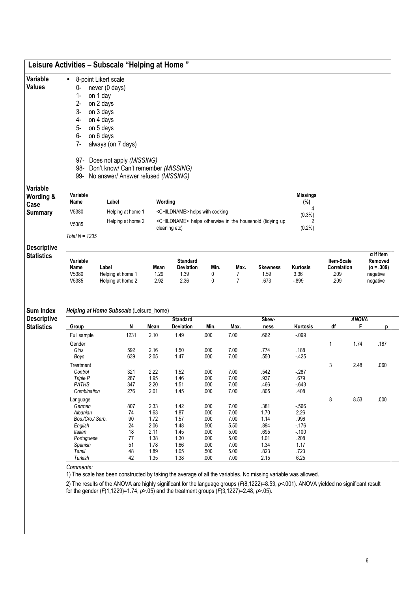| Variable      | 8-point Likert scale<br>$\bullet$        |                 |
|---------------|------------------------------------------|-----------------|
| <b>Values</b> | never (0 days)<br>0-                     |                 |
|               | on 1 day<br>1-                           |                 |
|               | $2 -$<br>on 2 days                       |                 |
|               | $3-$<br>on 3 days                        |                 |
|               | on 4 days<br>4-                          |                 |
|               | 5-<br>on 5 days                          |                 |
|               | 6-<br>on 6 days                          |                 |
|               | always (on 7 days)<br>7-                 |                 |
|               | 97- Does not apply (MISSING)             |                 |
|               | 98- Don't know/ Can't remember (MISSING) |                 |
|               | 99- No answer/ Answer refused (MISSING)  |                 |
| Variable      |                                          |                 |
| Wording &     | Variable                                 | <b>Missings</b> |

| Wording &<br>Case | Variable<br>Name | Label             | Wordina                                                                                 | <b>Missings</b><br>(%) |
|-------------------|------------------|-------------------|-----------------------------------------------------------------------------------------|------------------------|
| <b>Summary</b>    | V5380            | Helping at home 1 | <childname> helps with cooking</childname>                                              | $(0.3\%)$              |
|                   | V5385            | Helping at home 2 | <childname> helps otherwise in the household (tidying up.<br/>cleaning etc)</childname> | $(0.2\%)$              |
|                   | Total N = $1235$ |                   |                                                                                         |                        |

## Descriptive **Statistics**

Sum Index

| Variable<br>Name | .abel             | Mean | <b>Standard</b><br><b>Deviation</b> | Min. | Max. | Skewness | Kurtosis | Item-Scale<br>Correlation | $\alpha$ If Item<br>Removed<br>.309)<br>$(\alpha =$ |
|------------------|-------------------|------|-------------------------------------|------|------|----------|----------|---------------------------|-----------------------------------------------------|
| V5380            | Helping at home   | .29  | .39                                 |      |      | .59      | 3.36     | .209                      | negative                                            |
| V5385            | Helping at home 2 | 2.92 | 2.36                                |      |      | .673     | $-0.899$ | .209                      | negative                                            |

### Helping at Home Subscale (Leisure\_home)

Descriptive **Statistics** Standard Standard Skew- Skew- Skew- ANOVA Group N Mean Deviation Min. Max. ness Kurtosis df F p Full sample 1231 2.10 1.49 .000 7.00 .662 -.099 Gender 1 1.74 .187 Girls 592 2.16 1.50 .000 7.00 .774 .188 Boys 639 2.05 1.47 .000 7.00 .550 -.425 Treatment 3 2.48 .060 Control 321 2.22 1.52 .000 7.00 .542 -.287 Triple P 287 1.95 1.46 .000 7.00 .937 .679 PATHS 347 2.20 1.51 .000 7.00 .466 -.643 Combination 276 2.01 1.45 .000 7.00 .805 .408 Language 8 8.53 .000 German 807 2.33 1.42 .000 7.00 .381 -.566 Albanian 74 1.63 1.87 .000 7.00 1.70 2.26 Bos./Cro./ Serb. 90 1.72 1.57 .000 7.00 1.14 .996<br>English 24 2.06 1.48 .500 5.50 .894 -1.76 English 24 2.06 1.48 .500 5.50 .894 -.176 Italian 18 2.11 1.45 .000 5.00 .695 -.100 Portuguese 77 1.38 1.30 .000 5.00 1.01 .208 Spanish 51 1.78 1.66 .000 7.00 1.34 1.17 Tamil 48 1.89 1.05 .500 5.00 .823 .723 Turkish 42 1.35 1.38 .000 7.00 2.15 6.25

Comments:

1) The scale has been constructed by taking the average of all the variables. No missing variable was allowed.

2) The results of the ANOVA are highly significant for the language groups (F(8,1222)=8.53, p<.001). ANOVA yielded no significant result for the gender (F(1,1229)=1.74,  $p > 05$ ) and the treatment groups (F(3,1227)=2.48,  $p > 05$ ).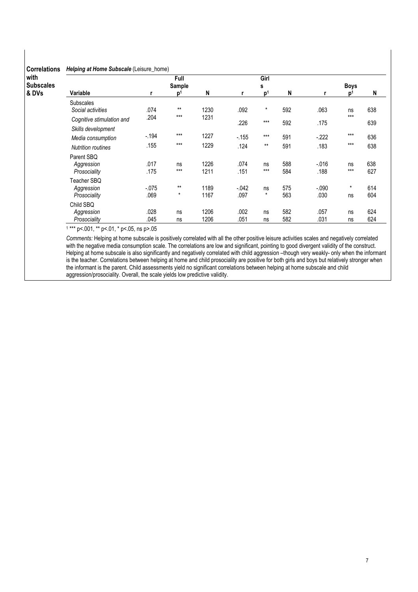# Correlations Helping at Home Subscale (Leisure\_home)

| with<br><b>Subscales</b> |                           |                | Full<br>Sample |      |         | Girl                |     |          | <b>Boys</b> |     |
|--------------------------|---------------------------|----------------|----------------|------|---------|---------------------|-----|----------|-------------|-----|
| & DVs                    | Variable                  | $\mathsf{D}^1$ |                | N    |         | s<br>n <sup>1</sup> | N   |          |             | N   |
|                          | <b>Subscales</b>          |                |                |      |         |                     |     |          |             |     |
|                          | Social activities         | .074           | $***$          | 1230 | .092    | $\star$             | 592 | .063     | ns          | 638 |
|                          | Cognitive stimulation and | .204           | $***$          | 1231 |         | $***$               |     |          | $***$       |     |
|                          | Skills development        |                |                |      | .226    |                     | 592 | .175     |             | 639 |
|                          | Media consumption         | $-194$         | $***$          | 1227 | $-155$  | $***$               | 591 | $-222$   | $***$       | 636 |
|                          | <b>Nutrition routines</b> | .155           | $***$          | 1229 | .124    | $***$               | 591 | .183     | $***$       | 638 |
|                          | Parent SBQ                |                |                |      |         |                     |     |          |             |     |
|                          | Aggression                | .017           | ns             | 1226 | .074    | ns                  | 588 | $-0.016$ | ns          | 638 |
|                          | Prosociality              | .175           | $***$          | 1211 | .151    | $***$               | 584 | .188     | $***$       | 627 |
|                          | Teacher SBQ               |                |                |      |         |                     |     |          |             |     |
|                          | Aggression                | $-0.075$       | $***$          | 1189 | $-.042$ | ns                  | 575 | $-.090$  | $\star$     | 614 |
|                          | Prosociality              | .069           | $\star$        | 1167 | .097    | $\star$             | 563 | .030     | ns          | 604 |
|                          | Child SBQ                 |                |                |      |         |                     |     |          |             |     |
|                          | Aggression                | .028           | ns             | 1206 | .002    | ns                  | 582 | .057     | ns          | 624 |
|                          | Prosociality              | .045           | ns             | 1206 | .051    | ns                  | 582 | .031     | ns          | 624 |

1 \*\*\* p<.001, \*\* p<.01, \* p<.05, ns p>.05

Comments: Helping at home subscale is positively correlated with all the other positive leisure activities scales and negatively correlated with the negative media consumption scale. The correlations are low and significant, pointing to good divergent validity of the construct. Helping at home subscale is also significantly and negatively correlated with child aggression –though very weakly- only when the informant is the teacher. Correlations between helping at home and child prosociality are positive for both girls and boys but relatively stronger when the informant is the parent. Child assessments yield no significant correlations between helping at home subscale and child aggression/prosociality. Overall, the scale yields low predictive validity.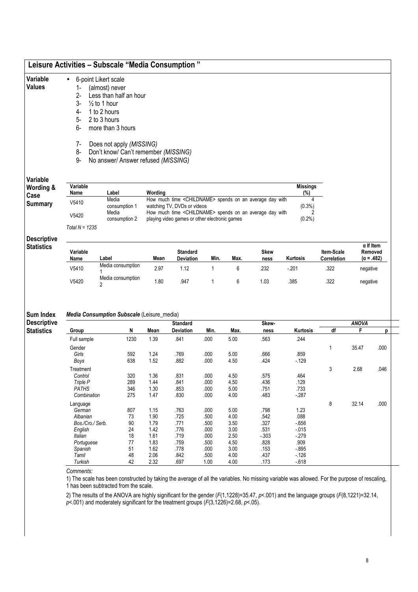# Leisure Activities – Subscale "Media Consumption "

#### Variable • 6-point Likert scale

# Values

- 1- (almost) never 2- Less than half an hour<br>3-  $\frac{1}{2}$  to 1 hour
- $\frac{1}{2}$  to 1 hour
- 4- 1 to 2 hours
- 5- 2 to 3 hours
- 6- more than 3 hours
- 7- Does not apply (MISSING)
- 
- 8- Don't know/ Can't remember (MISSING)<br>9- No answer/ Answer refused (MISSING) No answer/ Answer refused (MISSING)

# Variable

| Wording & | Variable         |               |                                                                     | Missinas  |
|-----------|------------------|---------------|---------------------------------------------------------------------|-----------|
| Case      | Name             | _abel         | Wordina                                                             | (%)       |
|           | V5410            | Media         | How much time <childname> spends on an average day with</childname> |           |
| Summarv   |                  | consumption 1 | watching TV, DVDs or videos                                         | $(0.3\%)$ |
|           | V5420            | Media         | How much time <childname> spends on an average day with</childname> |           |
|           |                  | consumption 2 | playing video games or other electronic games                       | $(0.2\%)$ |
|           | Total N = $1235$ |               |                                                                     |           |

#### Descriptive **Statistics**

| Variable<br>Name | ∟abel                           | Mean | <b>Standard</b><br><b>Deviation</b> | Min. | Max. | <b>Skew</b><br>ness | <b>Kurtosis</b> | <b>Item-Scale</b><br>Correlation | $\alpha$ If Item<br>Removed<br>$(\alpha = .482)$ |
|------------------|---------------------------------|------|-------------------------------------|------|------|---------------------|-----------------|----------------------------------|--------------------------------------------------|
| V5410            | Media consumption               | 2.97 | .12                                 |      |      | 232                 | $-201$          | .322                             | negative                                         |
| V5420            | Media consumption<br>$\epsilon$ | .80  | .947                                |      |      | l.O3                | .385            | .322                             | negative                                         |

#### Sum Index Media Consumption Subscale (Leisure\_media)

| <b>Descriptive</b> |                  |      |      | <b>Standard</b>  |      |      | Skew-  |          |    | <b>ANOVA</b> |      |
|--------------------|------------------|------|------|------------------|------|------|--------|----------|----|--------------|------|
| <b>Statistics</b>  | Group            | N    | Mean | <b>Deviation</b> | Min. | Max. | ness   | Kurtosis | df | F            | р    |
|                    | Full sample      | 1230 | 1.39 | .841             | .000 | 5.00 | .563   | .244     |    |              |      |
|                    | Gender           |      |      |                  |      |      |        |          |    | 35.47        | .000 |
|                    | Girls            | 592  | 1.24 | .769             | .000 | 5.00 | .666   | .859     |    |              |      |
|                    | Boys             | 638  | 1.52 | .882             | .000 | 4.50 | .424   | $-129$   |    |              |      |
|                    | Treatment        |      |      |                  |      |      |        |          | 3  | 2.68         | .046 |
|                    | Control          | 320  | 1.36 | .831             | .000 | 4.50 | .575   | .464     |    |              |      |
|                    | Triple P         | 289  | 1.44 | .841             | .000 | 4.50 | .436   | .129     |    |              |      |
|                    | <b>PATHS</b>     | 346  | 1.30 | .853             | .000 | 5.00 | .751   | .733     |    |              |      |
|                    | Combination      | 275  | 1.47 | .830             | .000 | 4.00 | .483   | $-287$   |    |              |      |
|                    | Language         |      |      |                  |      |      |        |          | 8  | 32.14        | .000 |
|                    | German           | 807  | 1.15 | .763             | .000 | 5.00 | .798   | 1.23     |    |              |      |
|                    | Albanian         | 73   | 1.90 | .725             | .500 | 4.00 | .542   | .088     |    |              |      |
|                    | Bos./Cro./ Serb. | 90   | 1.79 | .771             | .500 | 3.50 | .327   | $-656$   |    |              |      |
|                    | English          | 24   | 1.42 | .776             | .000 | 3.00 | .531   | $-0.015$ |    |              |      |
|                    | <b>Italian</b>   | 18   | 1.61 | .719             | .000 | 2.50 | $-303$ | $-279$   |    |              |      |
|                    | Portuguese       | 77   | 1.83 | .759             | .500 | 4.50 | .828   | .909     |    |              |      |
|                    | Spanish          | 51   | 1.62 | .778             | .000 | 3.00 | .153   | $-895$   |    |              |      |
|                    | Tamil            | 48   | 2.06 | .842             | .500 | 4.00 | .437   | $-126$   |    |              |      |
|                    | Turkish          | 42   | 2.32 | .697             | 1.00 | 4.00 | .173   | $-618$   |    |              |      |

#### Comments:

1) The scale has been constructed by taking the average of all the variables. No missing variable was allowed. For the purpose of rescaling, 1 has been subtracted from the scale.

2) The results of the ANOVA are highly significant for the gender (F(1,1228)=35.47, p<.001) and the language groups (F(8,1221)=32.14,

 $p$  < 001) and moderately significant for the treatment groups ( $F(3,1226)$ =2.68,  $p$  < 05).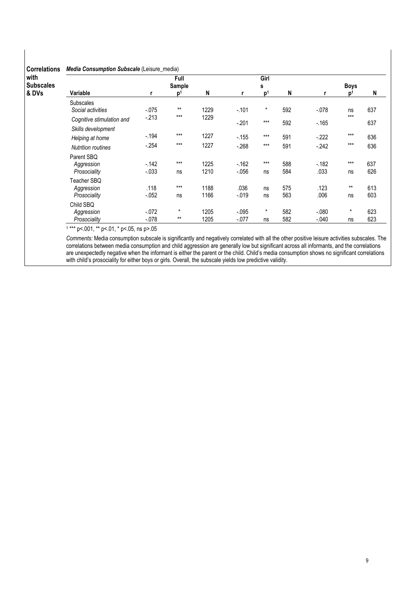# Correlations Media Consumption Subscale (Leisure\_media)

| <b>VVIIVIUUIIJ</b> |                           |          |                 |      |          |                |     |         |             |     |
|--------------------|---------------------------|----------|-----------------|------|----------|----------------|-----|---------|-------------|-----|
| with               |                           |          | Full            |      |          | Girl           |     |         |             |     |
| <b>Subscales</b>   |                           |          | Sample          |      |          | s              |     |         | <b>Boys</b> |     |
| & DVs              | Variable                  | r        | ים <sup>"</sup> | N    |          | D <sup>1</sup> | N   |         | n           | N   |
|                    | <b>Subscales</b>          |          |                 |      |          |                |     |         |             |     |
|                    | Social activities         | $-0.075$ | $***$           | 1229 | $-.101$  | $^\star$       | 592 | $-.078$ | ns          | 637 |
|                    | Cognitive stimulation and | $-213$   | $***$           | 1229 | $-201$   | $***$          | 592 | $-165$  | $***$       | 637 |
|                    | Skills development        |          |                 |      |          |                |     |         |             |     |
|                    | Helping at home           | $-194$   | $***$           | 1227 | $-155$   | $***$          | 591 | $-222$  | $***$       | 636 |
|                    | <b>Nutrition routines</b> | $-254$   | $***$           | 1227 | $-268$   | $***$          | 591 | $-242$  | $***$       | 636 |
|                    | Parent SBQ                |          |                 |      |          |                |     |         |             |     |
|                    | Aggression                | $-142$   | $***$           | 1225 | $-162$   | $***$          | 588 | $-182$  | $***$       | 637 |
|                    | Prosociality              | $-.033$  | ns              | 1210 | $-0.056$ | ns             | 584 | .033    | ns          | 626 |
|                    | Teacher SBQ               |          |                 |      |          |                |     |         |             |     |
|                    | Aggression                | .118     | $***$           | 1188 | .036     | ns             | 575 | .123    | $***$       | 613 |
|                    | Prosociality              | $-.052$  | ns              | 1166 | $-0.019$ | ns             | 563 | .006    | ns          | 603 |
|                    | Child SBQ                 |          |                 |      |          |                |     |         |             |     |
|                    | Aggression                | $-0.072$ | $\star$         | 1205 | $-0.095$ | $\star$        | 582 | $-080$  | $\star$     | 623 |
|                    | Prosociality              | $-0.078$ | $***$           | 1205 | $-0.077$ | ns             | 582 | $-.040$ | ns          | 623 |

1 \*\*\* p<.001, \*\* p<.01, \* p<.05, ns p>.05

Comments: Media consumption subscale is significantly and negatively correlated with all the other positive leisure activities subscales. The correlations between media consumption and child aggression are generally low but significant across all informants, and the correlations are unexpectedly negative when the informant is either the parent or the child. Child's media consumption shows no significant correlations with child's prosociality for either boys or girls. Overall, the subscale yields low predictive validity.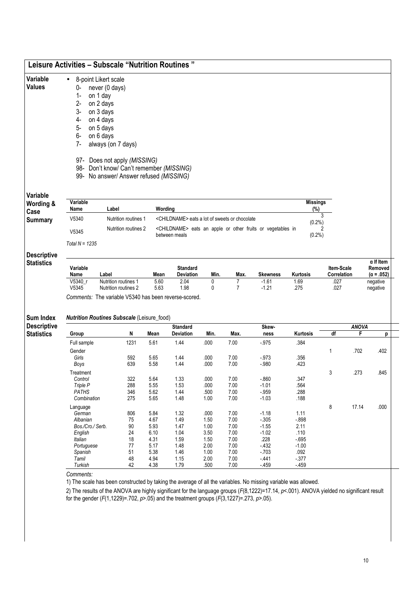|                                                             |                  | 8-point Likert scale                                                          |              |                   |              |                                                                        |                     |                        |                     |              |                             |
|-------------------------------------------------------------|------------------|-------------------------------------------------------------------------------|--------------|-------------------|--------------|------------------------------------------------------------------------|---------------------|------------------------|---------------------|--------------|-----------------------------|
| <b>Values</b>                                               | 0-               | never (0 days)                                                                |              |                   |              |                                                                        |                     |                        |                     |              |                             |
|                                                             | $1-$             | on 1 day                                                                      |              |                   |              |                                                                        |                     |                        |                     |              |                             |
|                                                             | $2-$             | on 2 days                                                                     |              |                   |              |                                                                        |                     |                        |                     |              |                             |
|                                                             | 3-               | on 3 days                                                                     |              |                   |              |                                                                        |                     |                        |                     |              |                             |
|                                                             | 4-               | on 4 days                                                                     |              |                   |              |                                                                        |                     |                        |                     |              |                             |
|                                                             | 5-               |                                                                               |              |                   |              |                                                                        |                     |                        |                     |              |                             |
|                                                             |                  | on 5 days                                                                     |              |                   |              |                                                                        |                     |                        |                     |              |                             |
|                                                             | 6-               | on 6 days                                                                     |              |                   |              |                                                                        |                     |                        |                     |              |                             |
|                                                             | $7-$             | always (on 7 days)                                                            |              |                   |              |                                                                        |                     |                        |                     |              |                             |
|                                                             |                  | 97- Does not apply (MISSING)                                                  |              |                   |              |                                                                        |                     |                        |                     |              |                             |
|                                                             |                  | 98- Don't know/ Can't remember (MISSING)                                      |              |                   |              |                                                                        |                     |                        |                     |              |                             |
|                                                             |                  | 99- No answer/ Answer refused (MISSING)                                       |              |                   |              |                                                                        |                     |                        |                     |              |                             |
| Variable                                                    |                  |                                                                               |              |                   |              |                                                                        |                     |                        |                     |              |                             |
| Wording &<br>Case                                           | Variable<br>Name | Label                                                                         | Wording      |                   |              |                                                                        |                     | <b>Missings</b><br>(%) |                     |              |                             |
| <b>Summary</b>                                              | V5340            | Nutrition routines 1                                                          |              |                   |              | <childname> eats a lot of sweets or chocolate</childname>              |                     | 3<br>(0.2%)            |                     |              |                             |
|                                                             | V5345            | Nutrition routines 2                                                          |              | between meals     |              | <childname> eats an apple or other fruits or vegetables in</childname> |                     | (0.2%)                 |                     |              |                             |
|                                                             | Total $N = 1235$ |                                                                               |              |                   |              |                                                                        |                     |                        |                     |              |                             |
| <b>Descriptive</b><br><b>Statistics</b>                     | Variable         |                                                                               |              | <b>Standard</b>   |              |                                                                        |                     |                        | Item-Scale          |              | $\alpha$ If Item<br>Removed |
|                                                             | Name             | Label                                                                         | Mean         | Deviation<br>2.04 | Min.         | Max.                                                                   | Skewness<br>$-1.61$ | Kurtosis               | Correlation<br>.027 |              | $(\alpha = .052)$           |
|                                                             | V5340 r          | Nutrition routines 1                                                          | 5.60         |                   | 0            | 7                                                                      |                     | 1.69                   |                     |              | negative                    |
|                                                             | V5345            | Nutrition routines 2<br>Comments: The variable V5340 has been reverse-scored. | 5.63         | 1.98              | 0            | $\overline{7}$                                                         | $-1.21$             | .275                   | .027                |              | negative                    |
|                                                             |                  | <b>Nutrition Routines Subscale (Leisure_food)</b>                             |              |                   |              |                                                                        |                     |                        |                     |              |                             |
|                                                             |                  |                                                                               |              | <b>Standard</b>   |              |                                                                        | Skew-               |                        |                     | <b>ANOVA</b> |                             |
|                                                             | Group            | N                                                                             | Mean         | <b>Deviation</b>  | Min.         | Max.                                                                   | ness                | Kurtosis               | df                  | F            |                             |
|                                                             | Full sample      | 1231                                                                          | 5.61         | 1.44              | .000         | 7.00                                                                   | - 975               | .384                   |                     |              |                             |
|                                                             | Gender           |                                                                               |              |                   |              |                                                                        |                     |                        | 1                   | .702         |                             |
|                                                             | Girls            | 592                                                                           | 5.65         | 1.44              | .000         | 7.00                                                                   | $-973$              | .356                   |                     |              |                             |
|                                                             | Boys             | 639                                                                           | 5.58         | 1.44              | .000         | 7.00                                                                   | $-.980$             | .423                   |                     |              |                             |
|                                                             | Treatment        |                                                                               |              |                   |              |                                                                        |                     |                        | 3                   | .273         |                             |
|                                                             | Control          | 322                                                                           | 5.64         | 1.33              | .000         | 7.00                                                                   | $-0.860$            | .347                   |                     |              |                             |
|                                                             | Triple P         | 288                                                                           | 5.55         | 1.53              | .000         | 7.00                                                                   | $-1.01$             | .564                   |                     |              |                             |
|                                                             | <b>PATHS</b>     | 346                                                                           | 5.62         | 1.44              | .500         | 7.00                                                                   | $-.959$             | .288                   |                     |              |                             |
|                                                             | Combination      | 275                                                                           | 5.65         | 1.48              | 1.00         | 7.00                                                                   | $-1.03$             | .188                   |                     |              |                             |
|                                                             | Language         |                                                                               |              |                   |              |                                                                        |                     |                        | 8                   | 17.14        |                             |
|                                                             | German           | 806                                                                           | 5.84         | 1.32              | .000         | 7.00                                                                   | $-1.18$             | 1.11                   |                     |              |                             |
|                                                             | Albanian         | 75                                                                            | 4.67         | 1.49              | 1.50         | 7.00                                                                   | $-0.305$            | $-0.898$               |                     |              |                             |
|                                                             | Bos./Cro./ Serb. | 90                                                                            | 5.93         | 1.47              | 1.00         | 7.00                                                                   | $-1.55$             | 2.11                   |                     |              |                             |
|                                                             | English          | 24                                                                            | 6.10         | 1.04              | 3.50         | 7.00                                                                   | $-1.02$             | .110                   |                     |              |                             |
|                                                             | Italian          | 18                                                                            | 4.31         | 1.59              | 1.50         | 7.00                                                                   | .228                | $-695$                 |                     |              |                             |
| <b>Sum Index</b><br><b>Descriptive</b><br><b>Statistics</b> | Portuguese       | 77                                                                            | 5.17         | 1.48              | 2.00         | 7.00                                                                   | $-432$              | $-1.00$                |                     |              |                             |
|                                                             | Spanish          | 51                                                                            | 5.38         | 1.46              | 1.00         | 7.00                                                                   | $-703$              | .092                   |                     |              | р<br>.402<br>.845<br>.000   |
|                                                             | Tamil<br>Turkish | 48<br>42                                                                      | 4.94<br>4.38 | 1.15<br>1.79      | 2.00<br>.500 | 7.00<br>7.00                                                           | $-441$<br>$-459$    | $-377$<br>$-459$       |                     |              |                             |

for the gender (F(1,1229)=.702,  $p > .05$ ) and the treatment groups (F(3,1227)=.273,  $p > .05$ ).